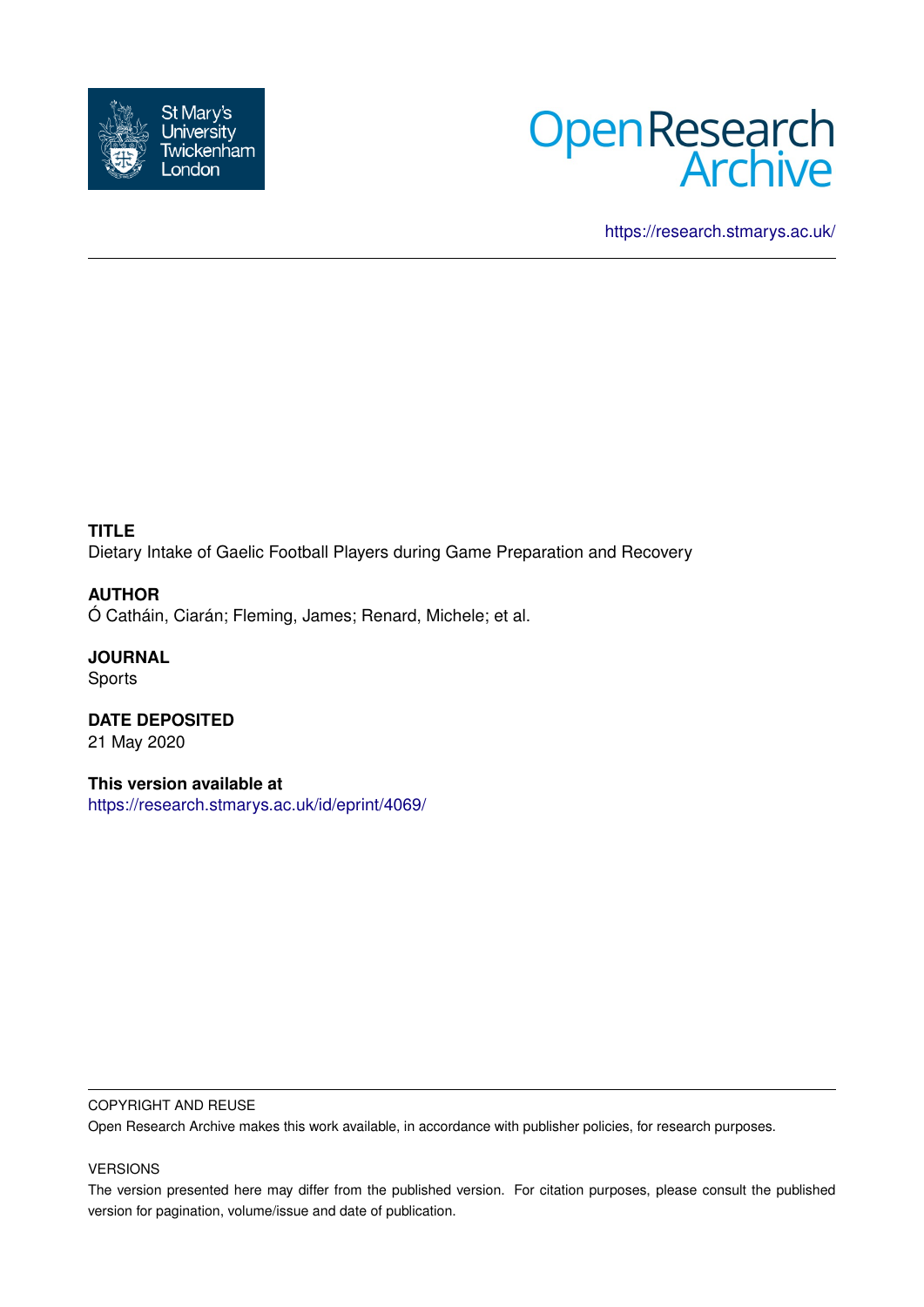



<https://research.stmarys.ac.uk/>

# **TITLE**

Dietary Intake of Gaelic Football Players during Game Preparation and Recovery

**AUTHOR** Ó Catháin, Ciarán; Fleming, James; Renard, Michele; et al.

**JOURNAL Sports** 

**DATE DEPOSITED** 21 May 2020

**This version available at** <https://research.stmarys.ac.uk/id/eprint/4069/>

# COPYRIGHT AND REUSE

Open Research Archive makes this work available, in accordance with publisher policies, for research purposes.

# VERSIONS

The version presented here may differ from the published version. For citation purposes, please consult the published version for pagination, volume/issue and date of publication.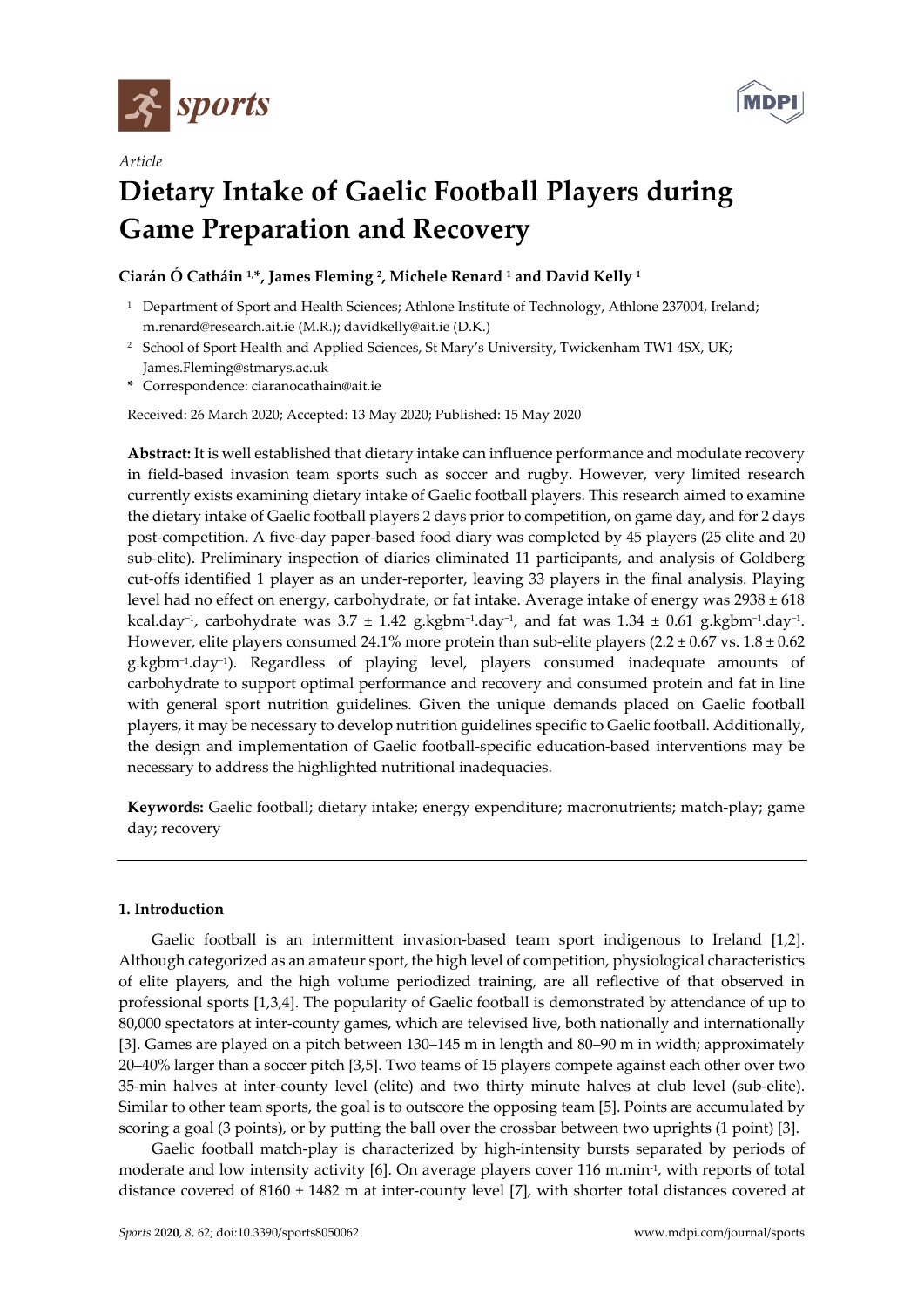

*Article* 



# **Dietary Intake of Gaelic Football Players during Game Preparation and Recovery**

# **Ciarán Ó Catháin 1,\*, James Fleming 2, Michele Renard 1 and David Kelly 1**

- <sup>1</sup> Department of Sport and Health Sciences; Athlone Institute of Technology, Athlone 237004, Ireland; m.renard@research.ait.ie (M.R.); davidkelly@ait.ie (D.K.)
- <sup>2</sup> School of Sport Health and Applied Sciences, St Mary's University, Twickenham TW1 4SX, UK; James.Fleming@stmarys.ac.uk
- **\*** Correspondence: ciaranocathain@ait.ie

Received: 26 March 2020; Accepted: 13 May 2020; Published: 15 May 2020

**Abstract:** It is well established that dietary intake can influence performance and modulate recovery in field-based invasion team sports such as soccer and rugby. However, very limited research currently exists examining dietary intake of Gaelic football players. This research aimed to examine the dietary intake of Gaelic football players 2 days prior to competition, on game day, and for 2 days post-competition. A five-day paper-based food diary was completed by 45 players (25 elite and 20 sub-elite). Preliminary inspection of diaries eliminated 11 participants, and analysis of Goldberg cut-offs identified 1 player as an under-reporter, leaving 33 players in the final analysis. Playing level had no effect on energy, carbohydrate, or fat intake. Average intake of energy was 2938 ± 618 kcal.day<sup>-1</sup>, carbohydrate was  $3.7 \pm 1.42$  g.kgbm<sup>-1</sup>.day<sup>-1</sup>, and fat was  $1.34 \pm 0.61$  g.kgbm<sup>-1</sup>.day<sup>-1</sup>. However, elite players consumed 24.1% more protein than sub-elite players (2.2  $\pm$  0.67 vs. 1.8  $\pm$  0.62 g.kgbm−1.day−1). Regardless of playing level, players consumed inadequate amounts of carbohydrate to support optimal performance and recovery and consumed protein and fat in line with general sport nutrition guidelines. Given the unique demands placed on Gaelic football players, it may be necessary to develop nutrition guidelines specific to Gaelic football. Additionally, the design and implementation of Gaelic football-specific education-based interventions may be necessary to address the highlighted nutritional inadequacies.

**Keywords:** Gaelic football; dietary intake; energy expenditure; macronutrients; match-play; game day; recovery

# **1. Introduction**

Gaelic football is an intermittent invasion-based team sport indigenous to Ireland [1,2]. Although categorized as an amateur sport, the high level of competition, physiological characteristics of elite players, and the high volume periodized training, are all reflective of that observed in professional sports [1,3,4]. The popularity of Gaelic football is demonstrated by attendance of up to 80,000 spectators at inter-county games, which are televised live, both nationally and internationally [3]. Games are played on a pitch between 130–145 m in length and 80–90 m in width; approximately 20–40% larger than a soccer pitch [3,5]. Two teams of 15 players compete against each other over two 35-min halves at inter-county level (elite) and two thirty minute halves at club level (sub-elite). Similar to other team sports, the goal is to outscore the opposing team [5]. Points are accumulated by scoring a goal (3 points), or by putting the ball over the crossbar between two uprights (1 point) [3].

Gaelic football match-play is characterized by high-intensity bursts separated by periods of moderate and low intensity activity [6]. On average players cover 116 m.min-1, with reports of total distance covered of  $8160 \pm 1482$  m at inter-county level [7], with shorter total distances covered at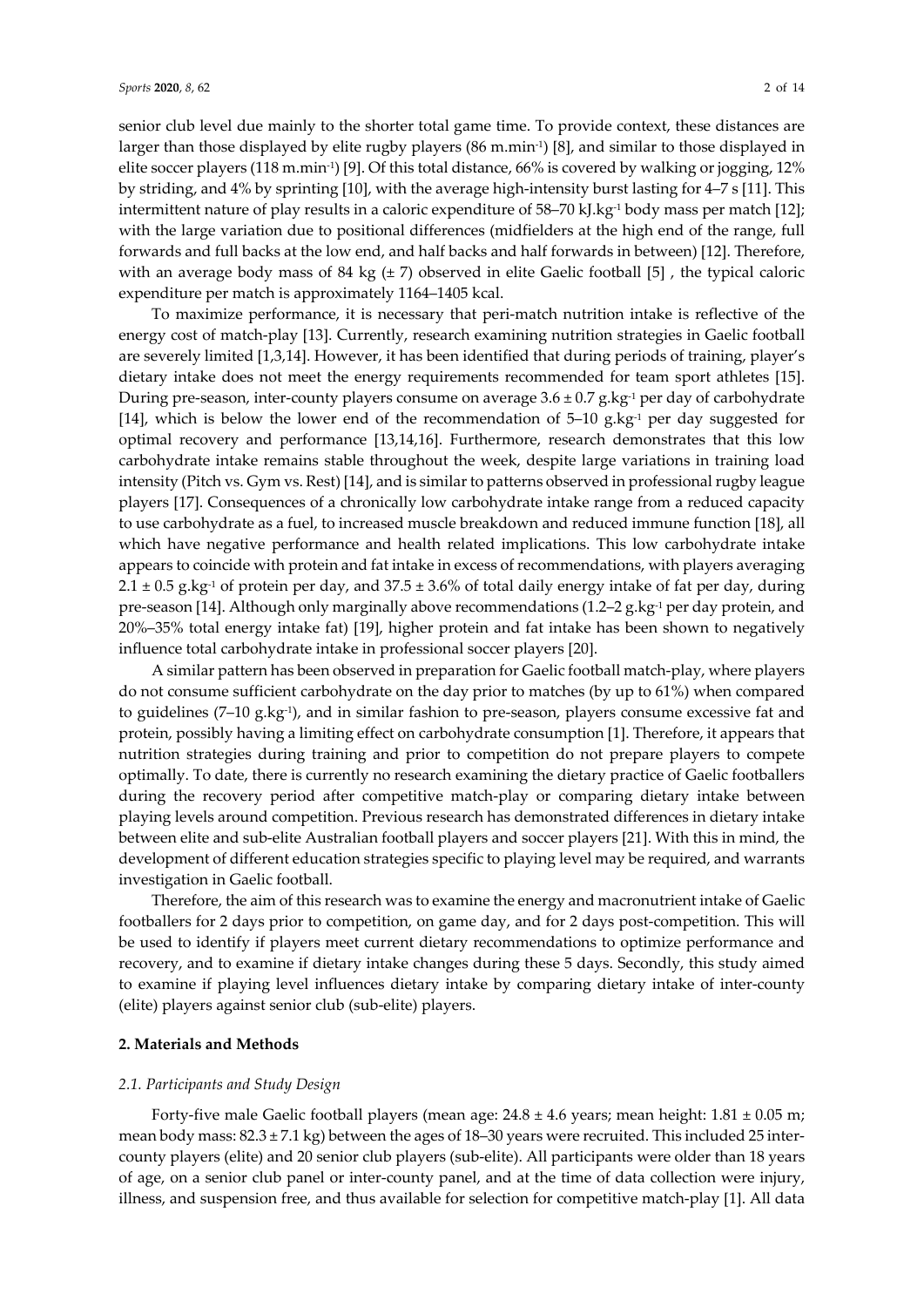senior club level due mainly to the shorter total game time. To provide context, these distances are larger than those displayed by elite rugby players (86 m.min-1) [8], and similar to those displayed in elite soccer players  $(118 \text{ m.min}^{-1})$  [9]. Of this total distance, 66% is covered by walking or jogging, 12% by striding, and 4% by sprinting [10], with the average high-intensity burst lasting for 4–7 s [11]. This intermittent nature of play results in a caloric expenditure of 58–70 kJ.kg-1 body mass per match [12]; with the large variation due to positional differences (midfielders at the high end of the range, full forwards and full backs at the low end, and half backs and half forwards in between) [12]. Therefore, with an average body mass of 84 kg  $(\pm 7)$  observed in elite Gaelic football [5], the typical caloric expenditure per match is approximately 1164–1405 kcal.

To maximize performance, it is necessary that peri-match nutrition intake is reflective of the energy cost of match-play [13]. Currently, research examining nutrition strategies in Gaelic football are severely limited [1,3,14]. However, it has been identified that during periods of training, player's dietary intake does not meet the energy requirements recommended for team sport athletes [15]. During pre-season, inter-county players consume on average  $3.6 \pm 0.7$  g.kg<sup>-1</sup> per day of carbohydrate [14], which is below the lower end of the recommendation of  $5-10$  g.kg<sup>-1</sup> per day suggested for optimal recovery and performance [13,14,16]. Furthermore, research demonstrates that this low carbohydrate intake remains stable throughout the week, despite large variations in training load intensity (Pitch vs. Gym vs. Rest) [14], and is similar to patterns observed in professional rugby league players [17]. Consequences of a chronically low carbohydrate intake range from a reduced capacity to use carbohydrate as a fuel, to increased muscle breakdown and reduced immune function [18], all which have negative performance and health related implications. This low carbohydrate intake appears to coincide with protein and fat intake in excess of recommendations, with players averaging 2.1  $\pm$  0.5 g.kg<sup>-1</sup> of protein per day, and 37.5  $\pm$  3.6% of total daily energy intake of fat per day, during pre-season [14]. Although only marginally above recommendations (1.2–2 g.kg-1 per day protein, and 20%–35% total energy intake fat) [19], higher protein and fat intake has been shown to negatively influence total carbohydrate intake in professional soccer players [20].

A similar pattern has been observed in preparation for Gaelic football match-play, where players do not consume sufficient carbohydrate on the day prior to matches (by up to 61%) when compared to guidelines (7–10 g.kg-1), and in similar fashion to pre-season, players consume excessive fat and protein, possibly having a limiting effect on carbohydrate consumption [1]. Therefore, it appears that nutrition strategies during training and prior to competition do not prepare players to compete optimally. To date, there is currently no research examining the dietary practice of Gaelic footballers during the recovery period after competitive match-play or comparing dietary intake between playing levels around competition. Previous research has demonstrated differences in dietary intake between elite and sub-elite Australian football players and soccer players [21]. With this in mind, the development of different education strategies specific to playing level may be required, and warrants investigation in Gaelic football.

Therefore, the aim of this research was to examine the energy and macronutrient intake of Gaelic footballers for 2 days prior to competition, on game day, and for 2 days post-competition. This will be used to identify if players meet current dietary recommendations to optimize performance and recovery, and to examine if dietary intake changes during these 5 days. Secondly, this study aimed to examine if playing level influences dietary intake by comparing dietary intake of inter-county (elite) players against senior club (sub-elite) players.

## **2. Materials and Methods**

#### *2.1. Participants and Study Design*

Forty-five male Gaelic football players (mean age:  $24.8 \pm 4.6$  years; mean height:  $1.81 \pm 0.05$  m; mean body mass:  $82.3 \pm 7.1$  kg) between the ages of 18–30 years were recruited. This included 25 intercounty players (elite) and 20 senior club players (sub-elite). All participants were older than 18 years of age, on a senior club panel or inter-county panel, and at the time of data collection were injury, illness, and suspension free, and thus available for selection for competitive match-play [1]. All data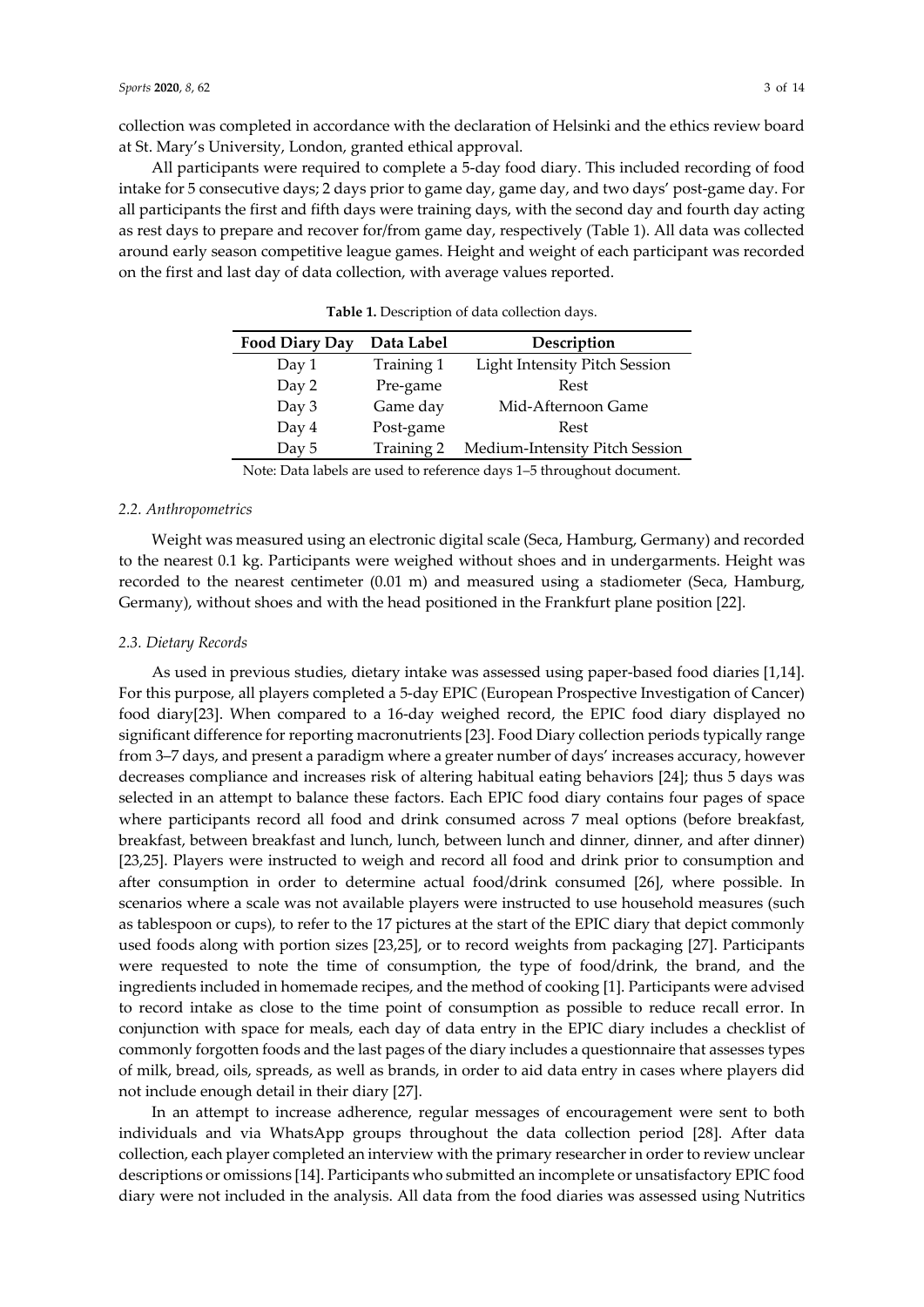collection was completed in accordance with the declaration of Helsinki and the ethics review board at St. Mary's University, London, granted ethical approval.

All participants were required to complete a 5-day food diary. This included recording of food intake for 5 consecutive days; 2 days prior to game day, game day, and two days' post-game day. For all participants the first and fifth days were training days, with the second day and fourth day acting as rest days to prepare and recover for/from game day, respectively (Table 1). All data was collected around early season competitive league games. Height and weight of each participant was recorded on the first and last day of data collection, with average values reported.

| <b>Food Diary Day</b> | Data Label | Description                          |
|-----------------------|------------|--------------------------------------|
| Day 1                 | Training 1 | <b>Light Intensity Pitch Session</b> |
| Day 2                 | Pre-game   | Rest                                 |
| Day 3                 | Game day   | Mid-Afternoon Game                   |
| Day 4                 | Post-game  | Rest                                 |
| Day 5                 | Training 2 | Medium-Intensity Pitch Session       |

**Table 1.** Description of data collection days.

Note: Data labels are used to reference days 1–5 throughout document.

## *2.2. Anthropometrics*

Weight was measured using an electronic digital scale (Seca, Hamburg, Germany) and recorded to the nearest 0.1 kg. Participants were weighed without shoes and in undergarments. Height was recorded to the nearest centimeter (0.01 m) and measured using a stadiometer (Seca, Hamburg, Germany), without shoes and with the head positioned in the Frankfurt plane position [22].

## *2.3. Dietary Records*

As used in previous studies, dietary intake was assessed using paper-based food diaries [1,14]. For this purpose, all players completed a 5-day EPIC (European Prospective Investigation of Cancer) food diary[23]. When compared to a 16-day weighed record, the EPIC food diary displayed no significant difference for reporting macronutrients [23]. Food Diary collection periods typically range from 3–7 days, and present a paradigm where a greater number of days' increases accuracy, however decreases compliance and increases risk of altering habitual eating behaviors [24]; thus 5 days was selected in an attempt to balance these factors. Each EPIC food diary contains four pages of space where participants record all food and drink consumed across 7 meal options (before breakfast, breakfast, between breakfast and lunch, lunch, between lunch and dinner, dinner, and after dinner) [23,25]. Players were instructed to weigh and record all food and drink prior to consumption and after consumption in order to determine actual food/drink consumed [26], where possible. In scenarios where a scale was not available players were instructed to use household measures (such as tablespoon or cups), to refer to the 17 pictures at the start of the EPIC diary that depict commonly used foods along with portion sizes [23,25], or to record weights from packaging [27]. Participants were requested to note the time of consumption, the type of food/drink, the brand, and the ingredients included in homemade recipes, and the method of cooking [1]. Participants were advised to record intake as close to the time point of consumption as possible to reduce recall error. In conjunction with space for meals, each day of data entry in the EPIC diary includes a checklist of commonly forgotten foods and the last pages of the diary includes a questionnaire that assesses types of milk, bread, oils, spreads, as well as brands, in order to aid data entry in cases where players did not include enough detail in their diary [27].

In an attempt to increase adherence, regular messages of encouragement were sent to both individuals and via WhatsApp groups throughout the data collection period [28]. After data collection, each player completed an interview with the primary researcher in order to review unclear descriptions or omissions [14]. Participants who submitted an incomplete or unsatisfactory EPIC food diary were not included in the analysis. All data from the food diaries was assessed using Nutritics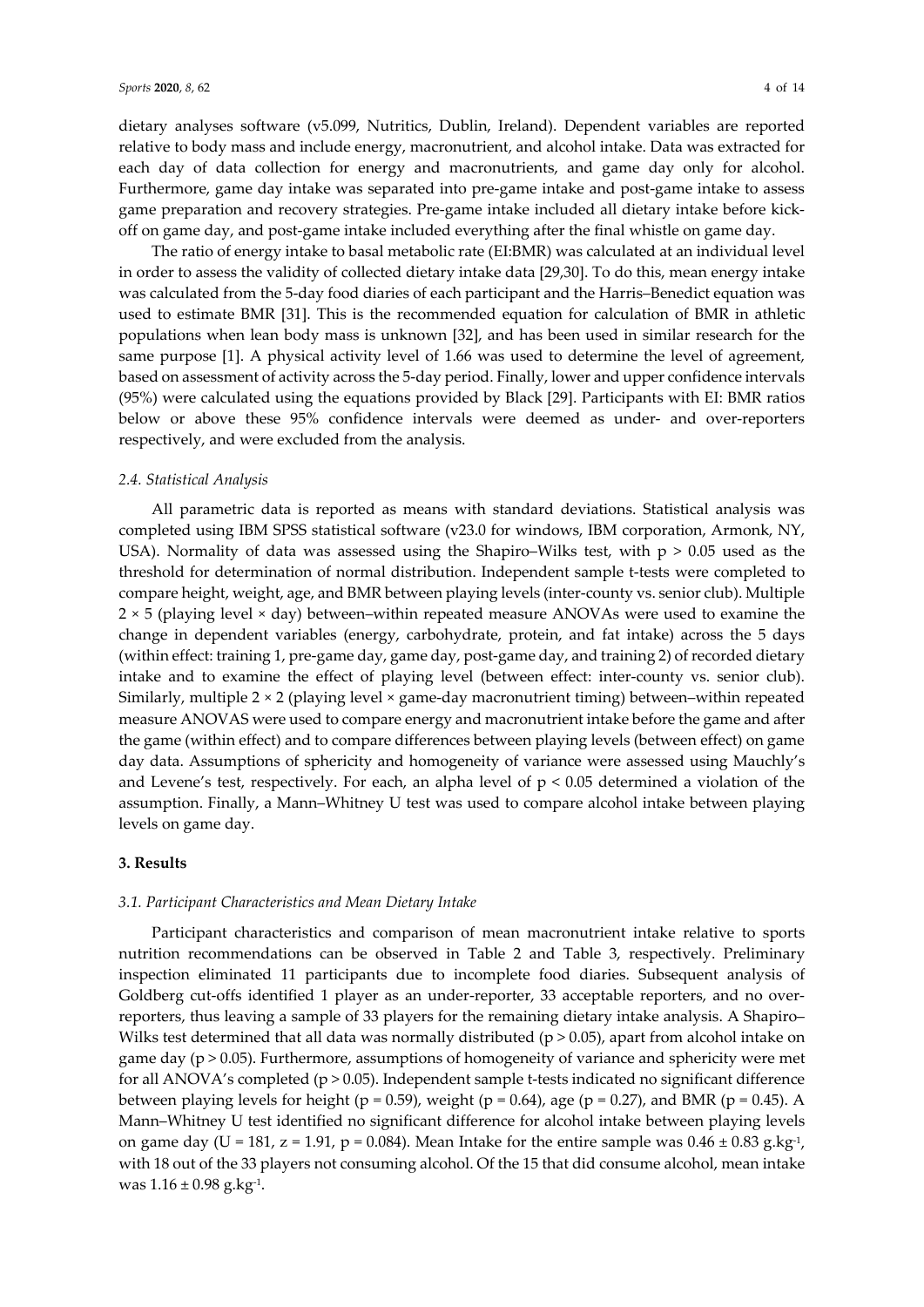dietary analyses software (v5.099, Nutritics, Dublin, Ireland). Dependent variables are reported relative to body mass and include energy, macronutrient, and alcohol intake. Data was extracted for each day of data collection for energy and macronutrients, and game day only for alcohol. Furthermore, game day intake was separated into pre-game intake and post-game intake to assess game preparation and recovery strategies. Pre-game intake included all dietary intake before kickoff on game day, and post-game intake included everything after the final whistle on game day.

The ratio of energy intake to basal metabolic rate (EI:BMR) was calculated at an individual level in order to assess the validity of collected dietary intake data [29,30]. To do this, mean energy intake was calculated from the 5-day food diaries of each participant and the Harris–Benedict equation was used to estimate BMR [31]. This is the recommended equation for calculation of BMR in athletic populations when lean body mass is unknown [32], and has been used in similar research for the same purpose [1]. A physical activity level of 1.66 was used to determine the level of agreement, based on assessment of activity across the 5-day period. Finally, lower and upper confidence intervals (95%) were calculated using the equations provided by Black [29]. Participants with EI: BMR ratios below or above these 95% confidence intervals were deemed as under- and over-reporters respectively, and were excluded from the analysis.

#### *2.4. Statistical Analysis*

All parametric data is reported as means with standard deviations. Statistical analysis was completed using IBM SPSS statistical software (v23.0 for windows, IBM corporation, Armonk, NY, USA). Normality of data was assessed using the Shapiro–Wilks test, with  $p > 0.05$  used as the threshold for determination of normal distribution. Independent sample t-tests were completed to compare height, weight, age, and BMR between playing levels (inter-county vs. senior club). Multiple 2 × 5 (playing level × day) between–within repeated measure ANOVAs were used to examine the change in dependent variables (energy, carbohydrate, protein, and fat intake) across the 5 days (within effect: training 1, pre-game day, game day, post-game day, and training 2) of recorded dietary intake and to examine the effect of playing level (between effect: inter-county vs. senior club). Similarly, multiple 2 × 2 (playing level × game-day macronutrient timing) between–within repeated measure ANOVAS were used to compare energy and macronutrient intake before the game and after the game (within effect) and to compare differences between playing levels (between effect) on game day data. Assumptions of sphericity and homogeneity of variance were assessed using Mauchly's and Levene's test, respectively. For each, an alpha level of  $p < 0.05$  determined a violation of the assumption. Finally, a Mann–Whitney U test was used to compare alcohol intake between playing levels on game day.

### **3. Results**

### *3.1. Participant Characteristics and Mean Dietary Intake*

Participant characteristics and comparison of mean macronutrient intake relative to sports nutrition recommendations can be observed in Table 2 and Table 3, respectively. Preliminary inspection eliminated 11 participants due to incomplete food diaries. Subsequent analysis of Goldberg cut-offs identified 1 player as an under-reporter, 33 acceptable reporters, and no overreporters, thus leaving a sample of 33 players for the remaining dietary intake analysis. A Shapiro– Wilks test determined that all data was normally distributed ( $p > 0.05$ ), apart from alcohol intake on game day ( $p > 0.05$ ). Furthermore, assumptions of homogeneity of variance and sphericity were met for all ANOVA's completed (p > 0.05). Independent sample t-tests indicated no significant difference between playing levels for height (p = 0.59), weight (p = 0.64), age (p = 0.27), and BMR (p = 0.45). A Mann–Whitney U test identified no significant difference for alcohol intake between playing levels on game day (U = 181, z = 1.91, p = 0.084). Mean Intake for the entire sample was  $0.46 \pm 0.83$  g.kg<sup>-1</sup>, with 18 out of the 33 players not consuming alcohol. Of the 15 that did consume alcohol, mean intake was  $1.16 \pm 0.98$  g.kg<sup>-1</sup>.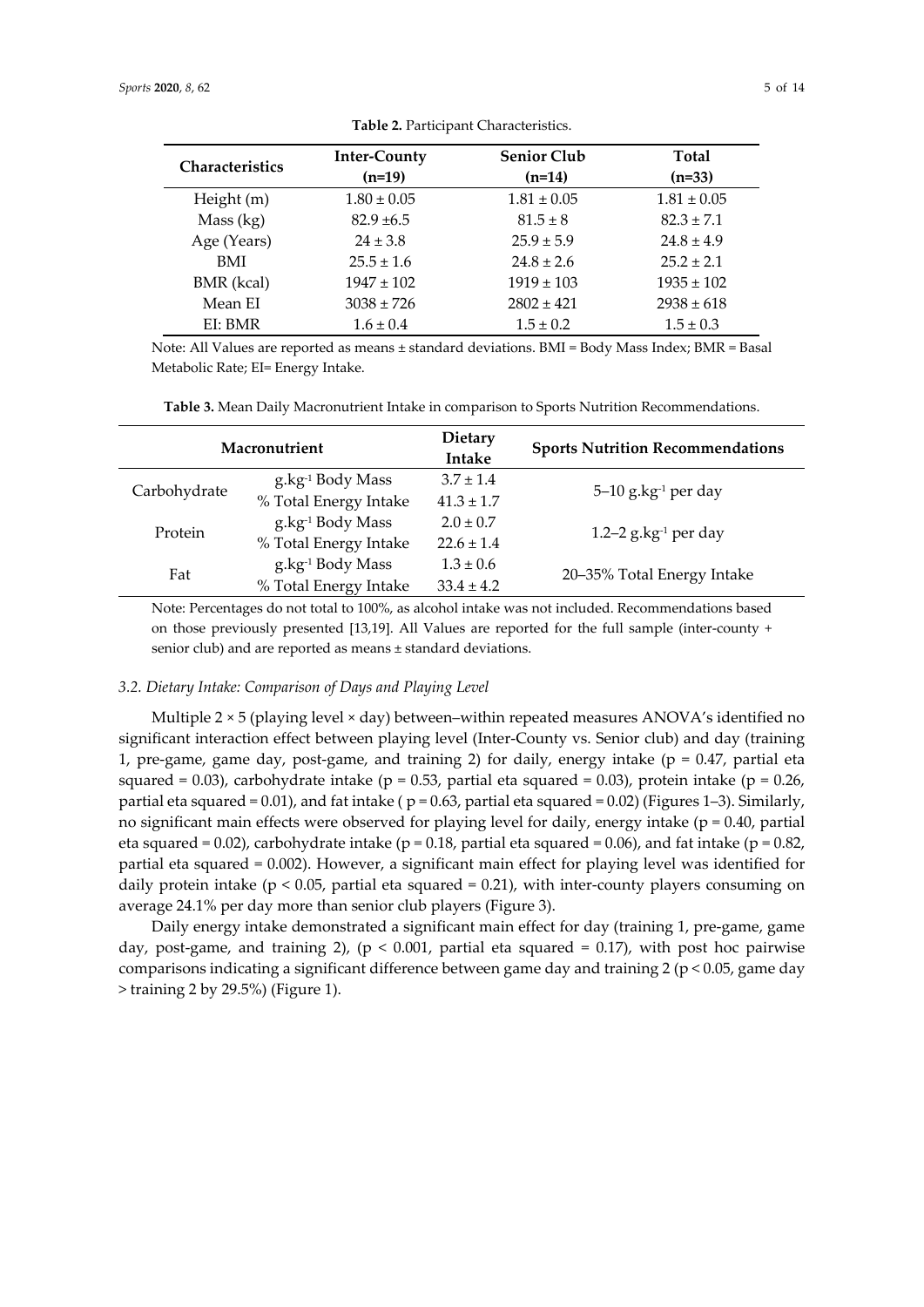|                        | <b>Inter-County</b> | <b>Senior Club</b> | Total           |  |  |
|------------------------|---------------------|--------------------|-----------------|--|--|
| <b>Characteristics</b> | $(n=19)$            | $(n=14)$           | $(n=33)$        |  |  |
| Height (m)             | $1.80 \pm 0.05$     | $1.81 \pm 0.05$    | $1.81 \pm 0.05$ |  |  |
| Mass (kg)              | $82.9 \pm 6.5$      | $81.5 \pm 8$       | $82.3 \pm 7.1$  |  |  |
| Age (Years)            | $24 \pm 3.8$        | $25.9 \pm 5.9$     | $24.8 \pm 4.9$  |  |  |

| Table 2. Participant Characteristics. |  |
|---------------------------------------|--|
|---------------------------------------|--|

Note: All Values are reported as means ± standard deviations. BMI = Body Mass Index; BMR = Basal Metabolic Rate; EI= Energy Intake.

BMI 25.5 ± 1.6 24.8 ± 2.6 25.2 ± 2.1 BMR (kcal)  $1947 \pm 102$   $1919 \pm 103$   $1935 \pm 102$ Mean EI  $3038 \pm 726$   $2802 \pm 421$   $2938 \pm 618$ EI: BMR  $1.6 \pm 0.4$   $1.5 \pm 0.2$   $1.5 \pm 0.3$ 

**Table 3.** Mean Daily Macronutrient Intake in comparison to Sports Nutrition Recommendations.

| Macronutrient |                       | <b>Dietary</b><br>Intake | <b>Sports Nutrition Recommendations</b>    |  |
|---------------|-----------------------|--------------------------|--------------------------------------------|--|
| Carbohydrate  | g.kg-1 Body Mass      | $3.7 \pm 1.4$            |                                            |  |
|               | % Total Energy Intake | $41.3 \pm 1.7$           | 5–10 g.kg $\frac{1}{2}$ per day            |  |
| Protein       | g.kg-1 Body Mass      | $2.0 \pm 0.7$            | 1.2–2 $g$ .kg $\cdot$ <sup>1</sup> per day |  |
|               | % Total Energy Intake | $22.6 \pm 1.4$           |                                            |  |
| Fat           | g.kg-1 Body Mass      | $1.3 \pm 0.6$            | 20-35% Total Energy Intake                 |  |
|               | % Total Energy Intake | $33.4 \pm 4.2$           |                                            |  |

Note: Percentages do not total to 100%, as alcohol intake was not included. Recommendations based on those previously presented [13,19]. All Values are reported for the full sample (inter-county + senior club) and are reported as means ± standard deviations.

#### *3.2. Dietary Intake: Comparison of Days and Playing Level*

Multiple  $2 \times 5$  (playing level  $\times$  day) between–within repeated measures ANOVA's identified no significant interaction effect between playing level (Inter-County vs. Senior club) and day (training 1, pre-game, game day, post-game, and training 2) for daily, energy intake ( $p = 0.47$ , partial eta squared = 0.03), carbohydrate intake (p = 0.53, partial eta squared = 0.03), protein intake (p = 0.26, partial eta squared = 0.01), and fat intake ( $p = 0.63$ , partial eta squared = 0.02) (Figures 1–3). Similarly, no significant main effects were observed for playing level for daily, energy intake ( $p = 0.40$ , partial eta squared = 0.02), carbohydrate intake (p = 0.18, partial eta squared = 0.06), and fat intake (p = 0.82, partial eta squared = 0.002). However, a significant main effect for playing level was identified for daily protein intake ( $p < 0.05$ , partial eta squared = 0.21), with inter-county players consuming on average 24.1% per day more than senior club players (Figure 3).

Daily energy intake demonstrated a significant main effect for day (training 1, pre-game, game day, post-game, and training 2), ( $p < 0.001$ , partial eta squared = 0.17), with post hoc pairwise comparisons indicating a significant difference between game day and training  $2$  ( $p < 0.05$ , game day > training 2 by 29.5%) (Figure 1).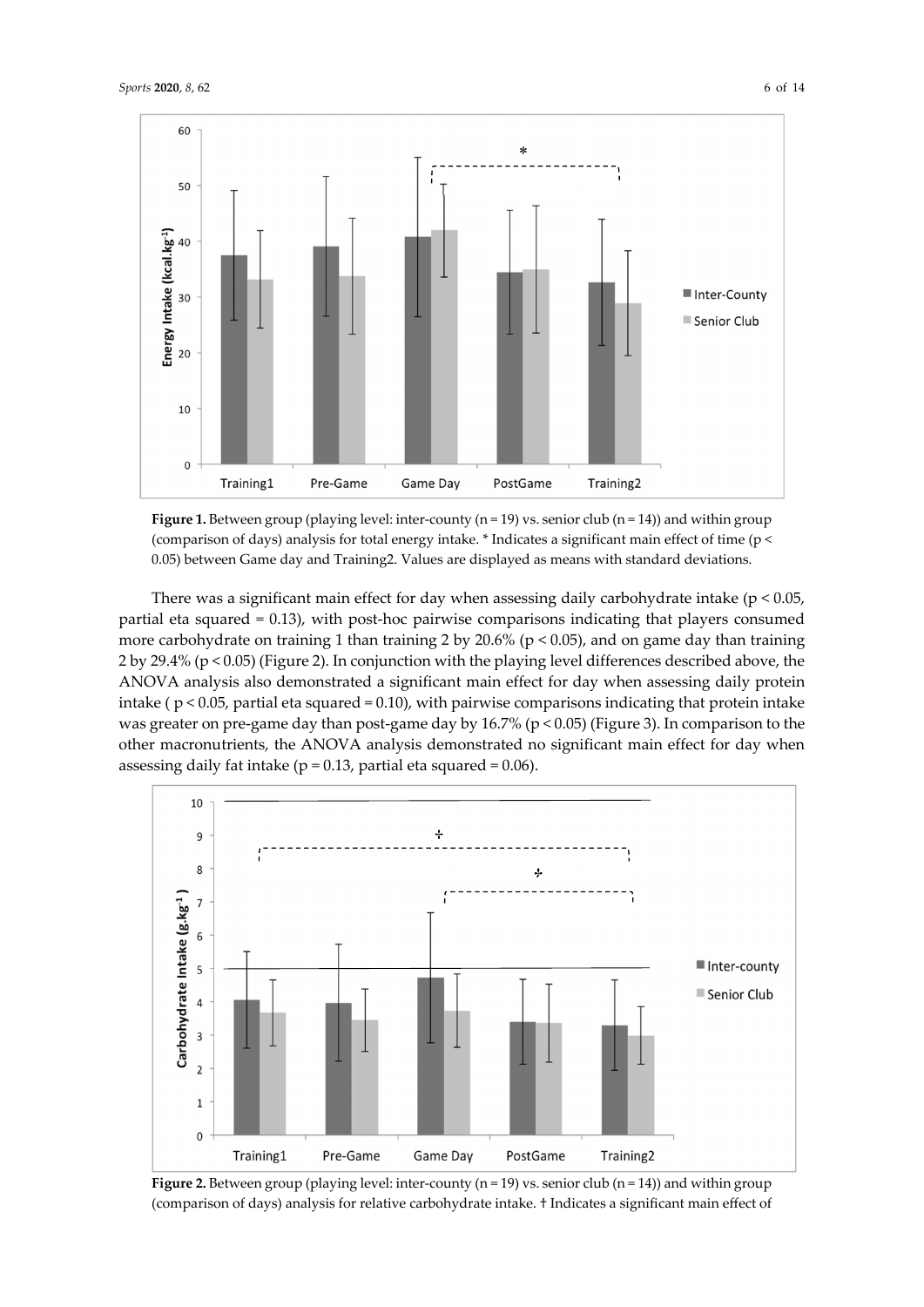

**Figure 1.** Between group (playing level: inter-county ( $n = 19$ ) vs. senior club ( $n = 14$ )) and within group (comparison of days) analysis for total energy intake. \* Indicates a significant main effect of time (p < 0.05) between Game day and Training2. Values are displayed as means with standard deviations.

There was a significant main effect for day when assessing daily carbohydrate intake ( $p < 0.05$ , partial eta squared = 0.13), with post-hoc pairwise comparisons indicating that players consumed more carbohydrate on training 1 than training 2 by 20.6% (p < 0.05), and on game day than training 2 by 29.4% (p < 0.05) (Figure 2). In conjunction with the playing level differences described above, the ANOVA analysis also demonstrated a significant main effect for day when assessing daily protein intake ( $p < 0.05$ , partial eta squared = 0.10), with pairwise comparisons indicating that protein intake was greater on pre-game day than post-game day by 16.7% (p < 0.05) (Figure 3). In comparison to the other macronutrients, the ANOVA analysis demonstrated no significant main effect for day when assessing daily fat intake ( $p = 0.13$ , partial eta squared = 0.06).



**Figure 2.** Between group (playing level: inter-county ( $n = 19$ ) vs. senior club ( $n = 14$ )) and within group (comparison of days) analysis for relative carbohydrate intake. † Indicates a significant main effect of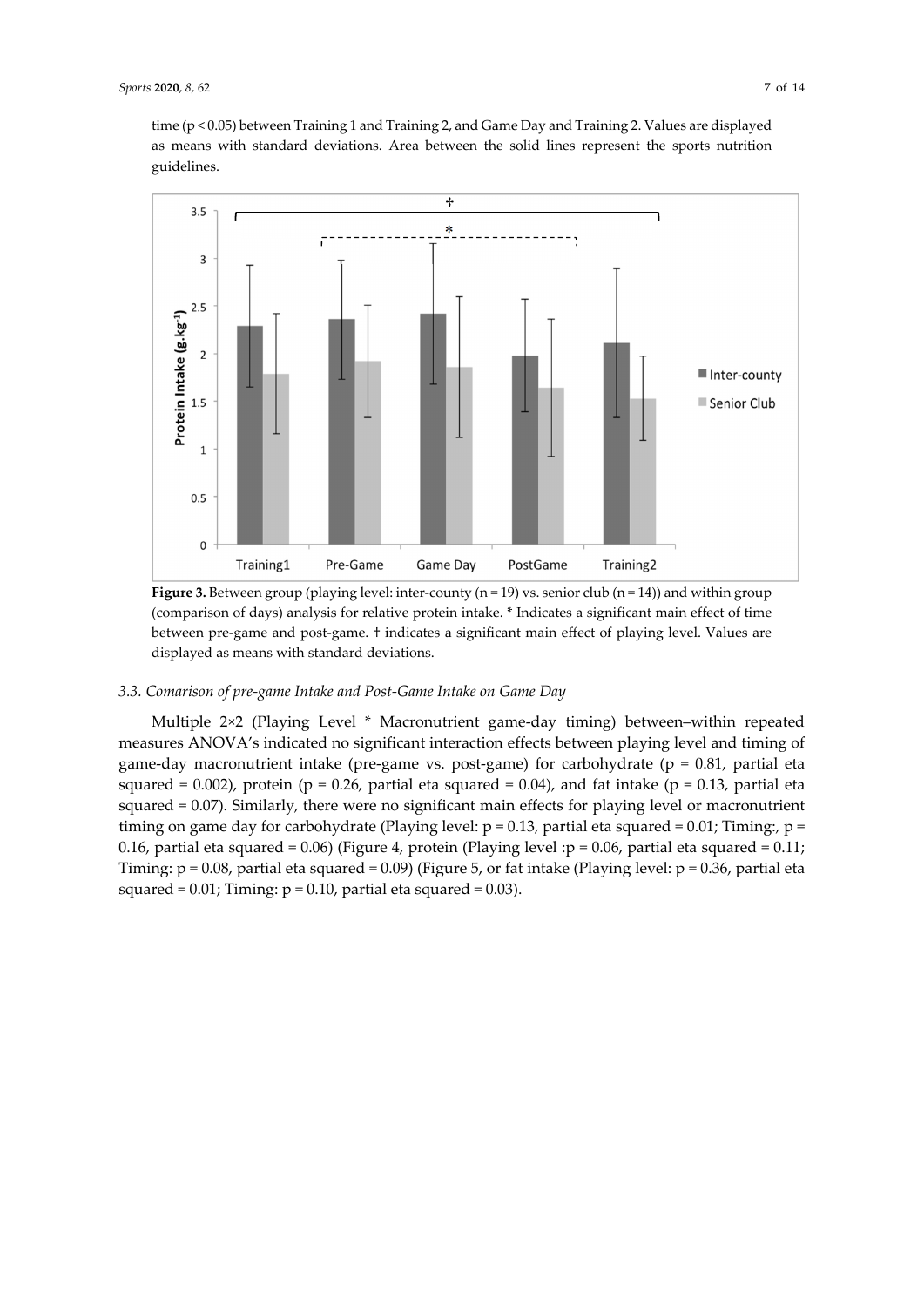time (p < 0.05) between Training 1 and Training 2, and Game Day and Training 2. Values are displayed as means with standard deviations. Area between the solid lines represent the sports nutrition guidelines.



**Figure 3.** Between group (playing level: inter-county ( $n = 19$ ) vs. senior club ( $n = 14$ )) and within group (comparison of days) analysis for relative protein intake. \* Indicates a significant main effect of time between pre-game and post-game. † indicates a significant main effect of playing level. Values are displayed as means with standard deviations.

## *3.3. Comarison of pre-game Intake and Post-Game Intake on Game Day*

Multiple 2×2 (Playing Level \* Macronutrient game-day timing) between–within repeated measures ANOVA's indicated no significant interaction effects between playing level and timing of game-day macronutrient intake (pre-game vs. post-game) for carbohydrate ( $p = 0.81$ , partial eta squared = 0.002), protein ( $p = 0.26$ , partial eta squared = 0.04), and fat intake ( $p = 0.13$ , partial eta squared = 0.07). Similarly, there were no significant main effects for playing level or macronutrient timing on game day for carbohydrate (Playing level: p = 0.13, partial eta squared = 0.01; Timing:, p = 0.16, partial eta squared = 0.06) (Figure 4, protein (Playing level :p = 0.06, partial eta squared = 0.11; Timing: p = 0.08, partial eta squared = 0.09) (Figure 5, or fat intake (Playing level: p = 0.36, partial eta squared =  $0.01$ ; Timing:  $p = 0.10$ , partial eta squared =  $0.03$ ).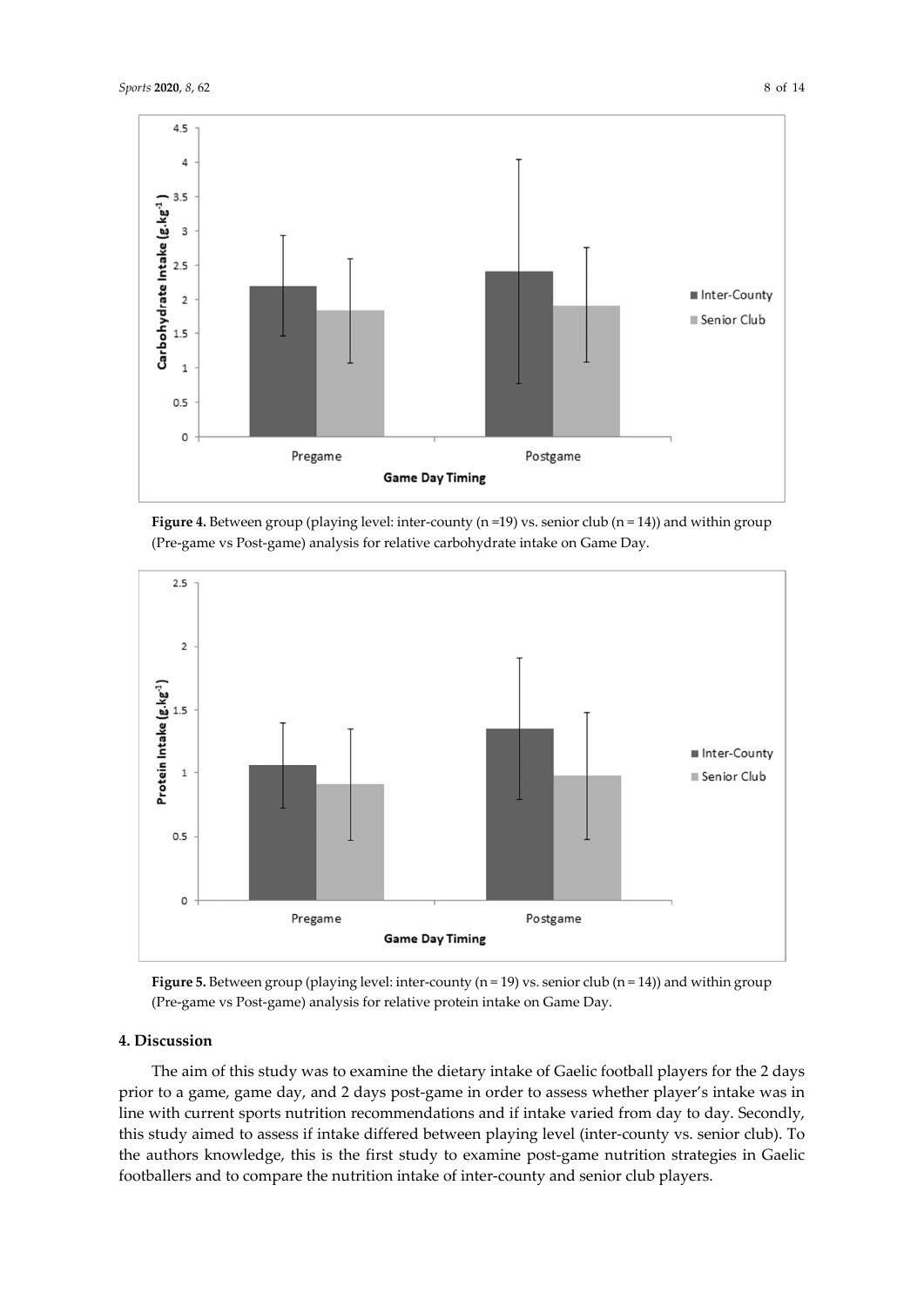

**Figure 4.** Between group (playing level: inter-county  $(n=19)$  vs. senior club  $(n=14)$ ) and within group (Pre-game vs Post-game) analysis for relative carbohydrate intake on Game Day.



**Figure 5.** Between group (playing level: inter-county  $(n = 19)$  vs. senior club  $(n = 14)$ ) and within group (Pre-game vs Post-game) analysis for relative protein intake on Game Day.

### **4. Discussion**

The aim of this study was to examine the dietary intake of Gaelic football players for the 2 days prior to a game, game day, and 2 days post-game in order to assess whether player's intake was in line with current sports nutrition recommendations and if intake varied from day to day. Secondly, this study aimed to assess if intake differed between playing level (inter-county vs. senior club). To the authors knowledge, this is the first study to examine post-game nutrition strategies in Gaelic footballers and to compare the nutrition intake of inter-county and senior club players.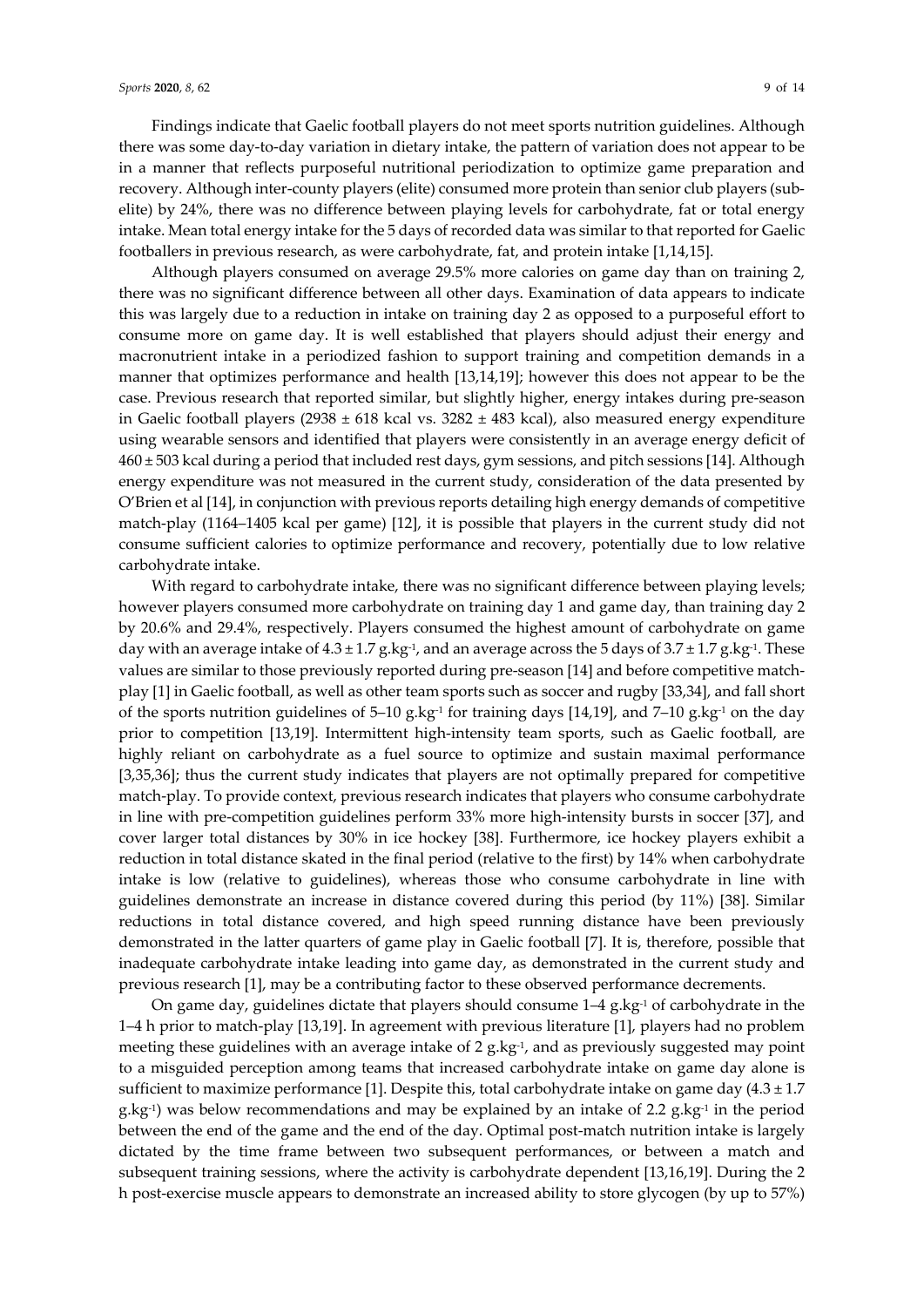Findings indicate that Gaelic football players do not meet sports nutrition guidelines. Although there was some day-to-day variation in dietary intake, the pattern of variation does not appear to be in a manner that reflects purposeful nutritional periodization to optimize game preparation and recovery. Although inter-county players (elite) consumed more protein than senior club players (subelite) by 24%, there was no difference between playing levels for carbohydrate, fat or total energy intake. Mean total energy intake for the 5 days of recorded data was similar to that reported for Gaelic footballers in previous research, as were carbohydrate, fat, and protein intake [1,14,15].

Although players consumed on average 29.5% more calories on game day than on training 2, there was no significant difference between all other days. Examination of data appears to indicate this was largely due to a reduction in intake on training day 2 as opposed to a purposeful effort to consume more on game day. It is well established that players should adjust their energy and macronutrient intake in a periodized fashion to support training and competition demands in a manner that optimizes performance and health [13,14,19]; however this does not appear to be the case. Previous research that reported similar, but slightly higher, energy intakes during pre-season in Gaelic football players (2938 ± 618 kcal vs. 3282 ± 483 kcal), also measured energy expenditure using wearable sensors and identified that players were consistently in an average energy deficit of 460 ± 503 kcal during a period that included rest days, gym sessions, and pitch sessions [14]. Although energy expenditure was not measured in the current study, consideration of the data presented by O'Brien et al [14], in conjunction with previous reports detailing high energy demands of competitive match-play (1164–1405 kcal per game) [12], it is possible that players in the current study did not consume sufficient calories to optimize performance and recovery, potentially due to low relative carbohydrate intake.

With regard to carbohydrate intake, there was no significant difference between playing levels; however players consumed more carbohydrate on training day 1 and game day, than training day 2 by 20.6% and 29.4%, respectively. Players consumed the highest amount of carbohydrate on game day with an average intake of  $4.3 \pm 1.7$  g.kg<sup>-1</sup>, and an average across the 5 days of  $3.7 \pm 1.7$  g.kg<sup>-1</sup>. These values are similar to those previously reported during pre-season [14] and before competitive matchplay [1] in Gaelic football, as well as other team sports such as soccer and rugby [33,34], and fall short of the sports nutrition guidelines of 5–10 g.kg<sup>-1</sup> for training days [14,19], and 7–10 g.kg<sup>-1</sup> on the day prior to competition [13,19]. Intermittent high-intensity team sports, such as Gaelic football, are highly reliant on carbohydrate as a fuel source to optimize and sustain maximal performance [3,35,36]; thus the current study indicates that players are not optimally prepared for competitive match-play. To provide context, previous research indicates that players who consume carbohydrate in line with pre-competition guidelines perform 33% more high-intensity bursts in soccer [37], and cover larger total distances by 30% in ice hockey [38]. Furthermore, ice hockey players exhibit a reduction in total distance skated in the final period (relative to the first) by 14% when carbohydrate intake is low (relative to guidelines), whereas those who consume carbohydrate in line with guidelines demonstrate an increase in distance covered during this period (by 11%) [38]. Similar reductions in total distance covered, and high speed running distance have been previously demonstrated in the latter quarters of game play in Gaelic football [7]. It is, therefore, possible that inadequate carbohydrate intake leading into game day, as demonstrated in the current study and previous research [1], may be a contributing factor to these observed performance decrements.

On game day, guidelines dictate that players should consume  $1-4$  g.kg<sup>-1</sup> of carbohydrate in the 1–4 h prior to match-play [13,19]. In agreement with previous literature [1], players had no problem meeting these guidelines with an average intake of 2 g.kg<sup>-1</sup>, and as previously suggested may point to a misguided perception among teams that increased carbohydrate intake on game day alone is sufficient to maximize performance [1]. Despite this, total carbohydrate intake on game day  $(4.3 \pm 1.7)$  $g.kg<sup>-1</sup>$ ) was below recommendations and may be explained by an intake of 2.2 g.kg<sup>-1</sup> in the period between the end of the game and the end of the day. Optimal post-match nutrition intake is largely dictated by the time frame between two subsequent performances, or between a match and subsequent training sessions, where the activity is carbohydrate dependent [13,16,19]. During the 2 h post-exercise muscle appears to demonstrate an increased ability to store glycogen (by up to 57%)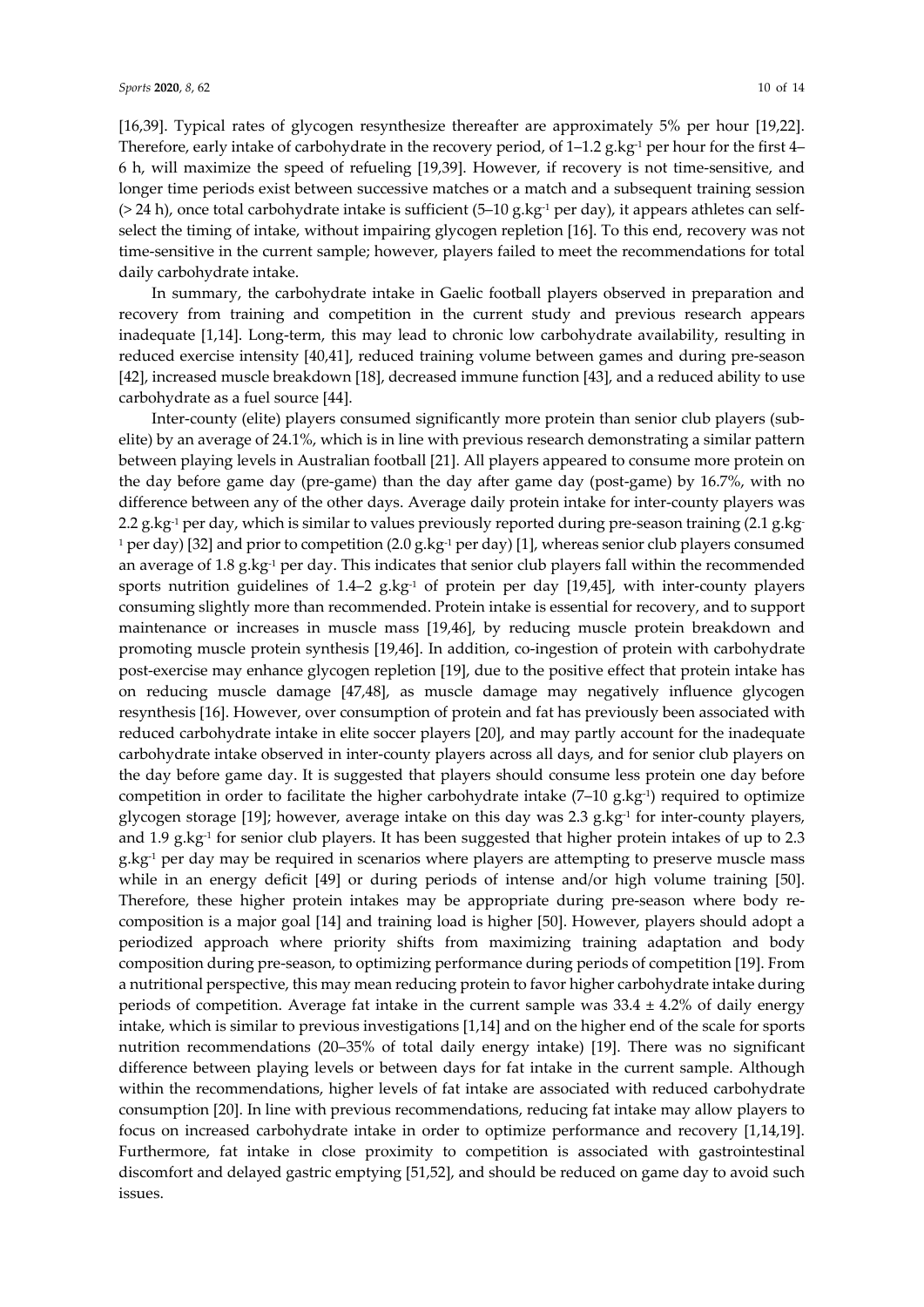[16,39]. Typical rates of glycogen resynthesize thereafter are approximately 5% per hour [19,22]. Therefore, early intake of carbohydrate in the recovery period, of  $1-1.2$  g.kg<sup>-1</sup> per hour for the first  $4-$ 6 h, will maximize the speed of refueling [19,39]. However, if recovery is not time-sensitive, and longer time periods exist between successive matches or a match and a subsequent training session  $(> 24 h)$ , once total carbohydrate intake is sufficient  $(5-10 g.kg<sup>-1</sup>$  per day), it appears athletes can selfselect the timing of intake, without impairing glycogen repletion [16]. To this end, recovery was not time-sensitive in the current sample; however, players failed to meet the recommendations for total daily carbohydrate intake.

In summary, the carbohydrate intake in Gaelic football players observed in preparation and recovery from training and competition in the current study and previous research appears inadequate [1,14]. Long-term, this may lead to chronic low carbohydrate availability, resulting in reduced exercise intensity [40,41], reduced training volume between games and during pre-season [42], increased muscle breakdown [18], decreased immune function [43], and a reduced ability to use carbohydrate as a fuel source [44].

Inter-county (elite) players consumed significantly more protein than senior club players (subelite) by an average of 24.1%, which is in line with previous research demonstrating a similar pattern between playing levels in Australian football [21]. All players appeared to consume more protein on the day before game day (pre-game) than the day after game day (post-game) by 16.7%, with no difference between any of the other days. Average daily protein intake for inter-county players was 2.2 g.kg-1 per day, which is similar to values previously reported during pre-season training (2.1 g.kg-<sup>1</sup> per day) [32] and prior to competition (2.0 g.kg<sup>-1</sup> per day) [1], whereas senior club players consumed an average of  $1.8$  g.kg<sup>-1</sup> per day. This indicates that senior club players fall within the recommended sports nutrition guidelines of  $1.4-2$  g.kg<sup>-1</sup> of protein per day [19,45], with inter-county players consuming slightly more than recommended. Protein intake is essential for recovery, and to support maintenance or increases in muscle mass [19,46], by reducing muscle protein breakdown and promoting muscle protein synthesis [19,46]. In addition, co-ingestion of protein with carbohydrate post-exercise may enhance glycogen repletion [19], due to the positive effect that protein intake has on reducing muscle damage [47,48], as muscle damage may negatively influence glycogen resynthesis [16]. However, over consumption of protein and fat has previously been associated with reduced carbohydrate intake in elite soccer players [20], and may partly account for the inadequate carbohydrate intake observed in inter-county players across all days, and for senior club players on the day before game day. It is suggested that players should consume less protein one day before competition in order to facilitate the higher carbohydrate intake  $(7-10 \text{ g} \text{ kg}^{-1})$  required to optimize glycogen storage [19]; however, average intake on this day was 2.3 g.kg-1 for inter-county players, and 1.9 g.kg-1 for senior club players. It has been suggested that higher protein intakes of up to 2.3 g.kg-1 per day may be required in scenarios where players are attempting to preserve muscle mass while in an energy deficit [49] or during periods of intense and/or high volume training [50]. Therefore, these higher protein intakes may be appropriate during pre-season where body recomposition is a major goal [14] and training load is higher [50]. However, players should adopt a periodized approach where priority shifts from maximizing training adaptation and body composition during pre-season, to optimizing performance during periods of competition [19]. From a nutritional perspective, this may mean reducing protein to favor higher carbohydrate intake during periods of competition. Average fat intake in the current sample was  $33.4 \pm 4.2\%$  of daily energy intake, which is similar to previous investigations [1,14] and on the higher end of the scale for sports nutrition recommendations (20–35% of total daily energy intake) [19]. There was no significant difference between playing levels or between days for fat intake in the current sample. Although within the recommendations, higher levels of fat intake are associated with reduced carbohydrate consumption [20]. In line with previous recommendations, reducing fat intake may allow players to focus on increased carbohydrate intake in order to optimize performance and recovery [1,14,19]. Furthermore, fat intake in close proximity to competition is associated with gastrointestinal discomfort and delayed gastric emptying [51,52], and should be reduced on game day to avoid such issues.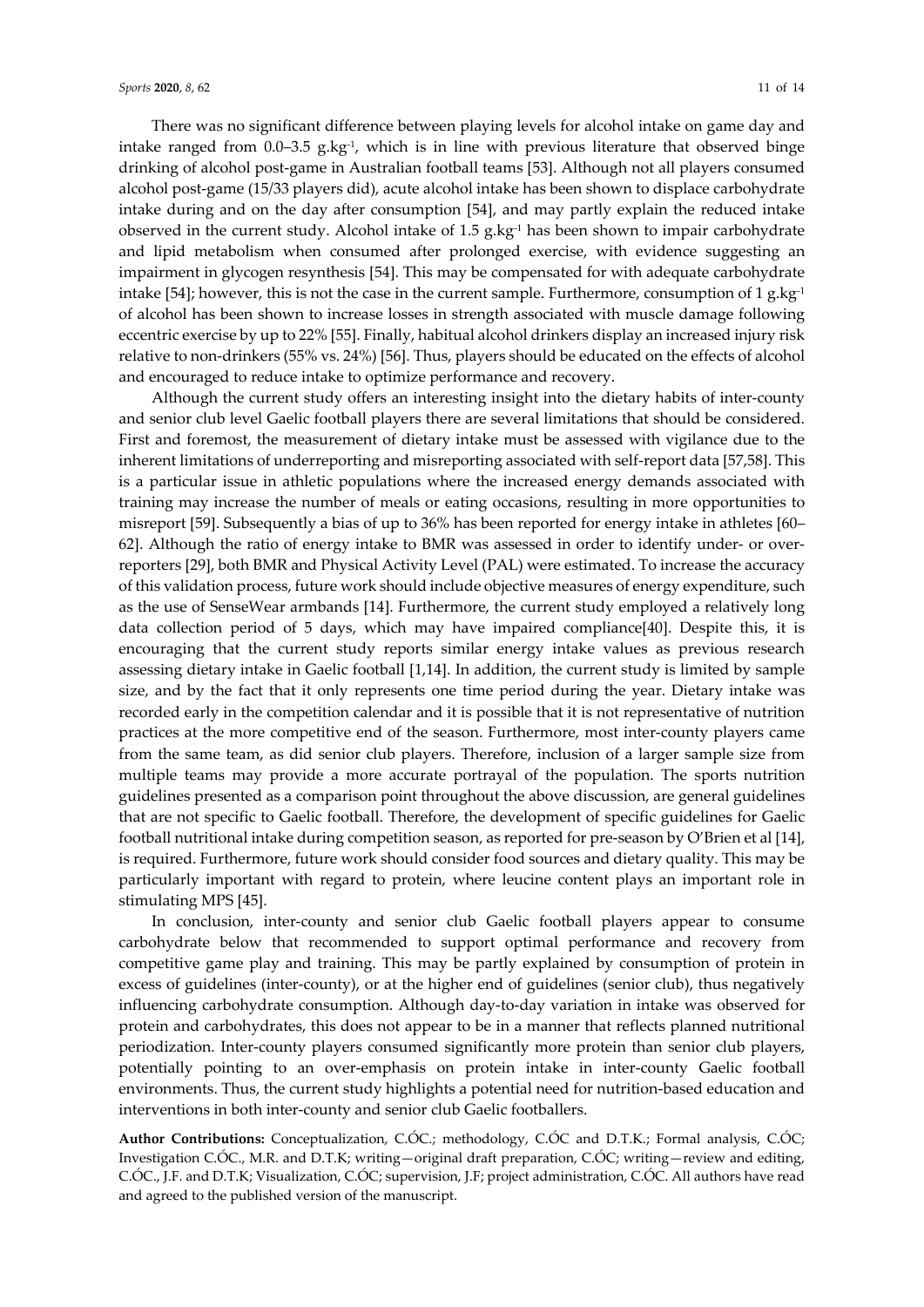There was no significant difference between playing levels for alcohol intake on game day and intake ranged from  $0.0-3.5$  g.kg<sup>-1</sup>, which is in line with previous literature that observed binge drinking of alcohol post-game in Australian football teams [53]. Although not all players consumed alcohol post-game (15/33 players did), acute alcohol intake has been shown to displace carbohydrate intake during and on the day after consumption [54], and may partly explain the reduced intake observed in the current study. Alcohol intake of 1.5 g,  $kg^{-1}$  has been shown to impair carbohydrate and lipid metabolism when consumed after prolonged exercise, with evidence suggesting an impairment in glycogen resynthesis [54]. This may be compensated for with adequate carbohydrate intake [54]; however, this is not the case in the current sample. Furthermore, consumption of 1 g.kg-1 of alcohol has been shown to increase losses in strength associated with muscle damage following eccentric exercise by up to 22% [55]. Finally, habitual alcohol drinkers display an increased injury risk relative to non-drinkers (55% vs. 24%) [56]. Thus, players should be educated on the effects of alcohol and encouraged to reduce intake to optimize performance and recovery.

Although the current study offers an interesting insight into the dietary habits of inter-county and senior club level Gaelic football players there are several limitations that should be considered. First and foremost, the measurement of dietary intake must be assessed with vigilance due to the inherent limitations of underreporting and misreporting associated with self-report data [57,58]. This is a particular issue in athletic populations where the increased energy demands associated with training may increase the number of meals or eating occasions, resulting in more opportunities to misreport [59]. Subsequently a bias of up to 36% has been reported for energy intake in athletes [60– 62]. Although the ratio of energy intake to BMR was assessed in order to identify under- or overreporters [29], both BMR and Physical Activity Level (PAL) were estimated. To increase the accuracy of this validation process, future work should include objective measures of energy expenditure, such as the use of SenseWear armbands [14]. Furthermore, the current study employed a relatively long data collection period of 5 days, which may have impaired compliance[40]. Despite this, it is encouraging that the current study reports similar energy intake values as previous research assessing dietary intake in Gaelic football [1,14]. In addition, the current study is limited by sample size, and by the fact that it only represents one time period during the year. Dietary intake was recorded early in the competition calendar and it is possible that it is not representative of nutrition practices at the more competitive end of the season. Furthermore, most inter-county players came from the same team, as did senior club players. Therefore, inclusion of a larger sample size from multiple teams may provide a more accurate portrayal of the population. The sports nutrition guidelines presented as a comparison point throughout the above discussion, are general guidelines that are not specific to Gaelic football. Therefore, the development of specific guidelines for Gaelic football nutritional intake during competition season, as reported for pre-season by O'Brien et al [14], is required. Furthermore, future work should consider food sources and dietary quality. This may be particularly important with regard to protein, where leucine content plays an important role in stimulating MPS [45].

In conclusion, inter-county and senior club Gaelic football players appear to consume carbohydrate below that recommended to support optimal performance and recovery from competitive game play and training. This may be partly explained by consumption of protein in excess of guidelines (inter-county), or at the higher end of guidelines (senior club), thus negatively influencing carbohydrate consumption. Although day-to-day variation in intake was observed for protein and carbohydrates, this does not appear to be in a manner that reflects planned nutritional periodization. Inter-county players consumed significantly more protein than senior club players, potentially pointing to an over-emphasis on protein intake in inter-county Gaelic football environments. Thus, the current study highlights a potential need for nutrition-based education and interventions in both inter-county and senior club Gaelic footballers.

**Author Contributions:** Conceptualization, C.ÓC.; methodology, C.ÓC and D.T.K.; Formal analysis, C.ÓC; Investigation C.ÓC., M.R. and D.T.K; writing—original draft preparation, C.ÓC; writing—review and editing, C.ÓC., J.F. and D.T.K; Visualization, C.ÓC; supervision, J.F; project administration, C.ÓC. All authors have read and agreed to the published version of the manuscript.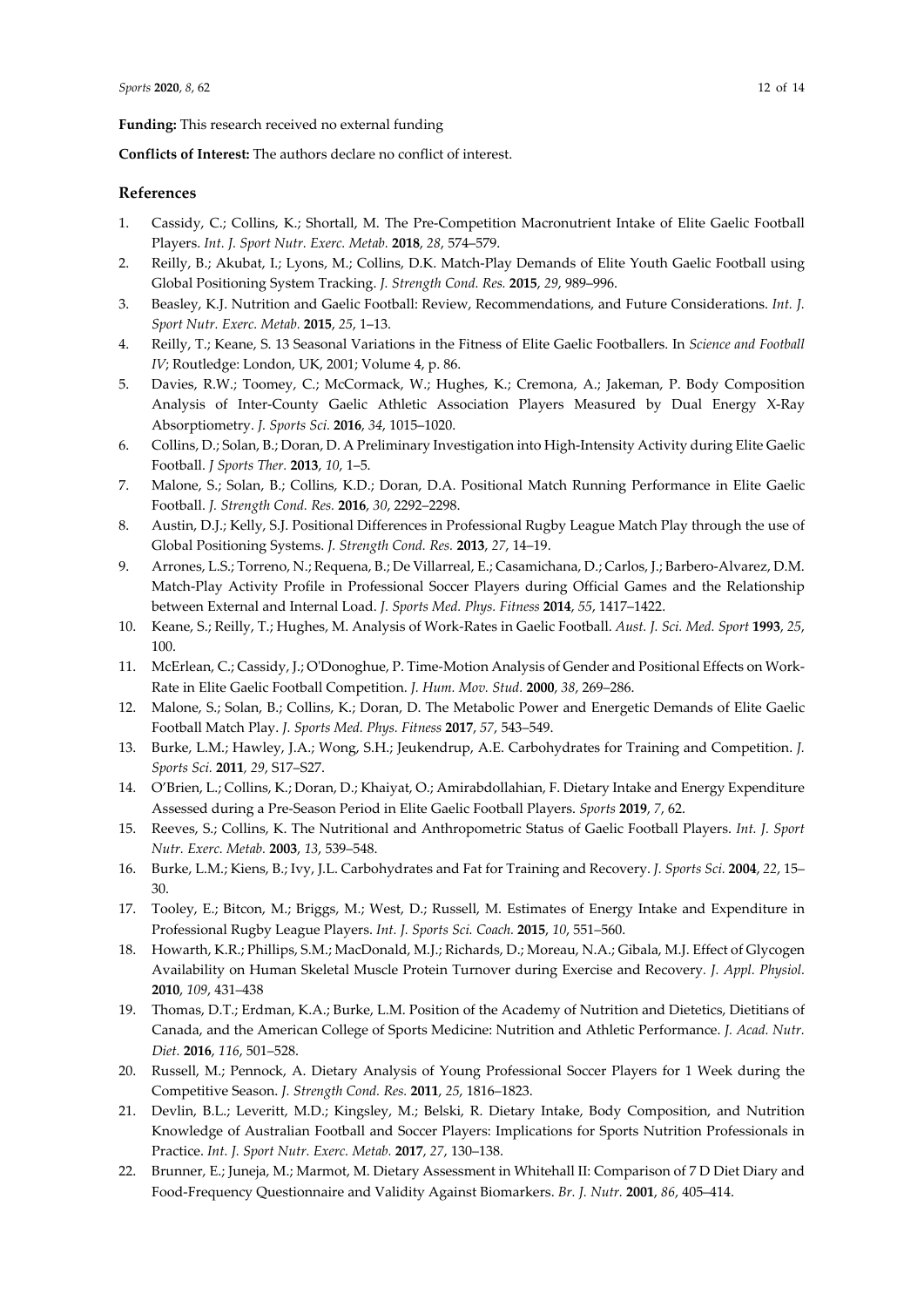**Funding:** This research received no external funding

**Conflicts of Interest:** The authors declare no conflict of interest.

# **References**

- 1. Cassidy, C.; Collins, K.; Shortall, M. The Pre-Competition Macronutrient Intake of Elite Gaelic Football Players. *Int. J. Sport Nutr. Exerc. Metab.* **2018**, *28*, 574–579.
- 2. Reilly, B.; Akubat, I.; Lyons, M.; Collins, D.K. Match-Play Demands of Elite Youth Gaelic Football using Global Positioning System Tracking. *J. Strength Cond. Res.* **2015**, *29*, 989–996.
- 3. Beasley, K.J. Nutrition and Gaelic Football: Review, Recommendations, and Future Considerations. *Int. J. Sport Nutr. Exerc. Metab.* **2015**, *25*, 1–13.
- 4. Reilly, T.; Keane, S. 13 Seasonal Variations in the Fitness of Elite Gaelic Footballers. In *Science and Football IV*; Routledge: London, UK, 2001; Volume 4, p. 86.
- 5. Davies, R.W.; Toomey, C.; McCormack, W.; Hughes, K.; Cremona, A.; Jakeman, P. Body Composition Analysis of Inter-County Gaelic Athletic Association Players Measured by Dual Energy X-Ray Absorptiometry. *J. Sports Sci.* **2016**, *34*, 1015–1020.
- 6. Collins, D.; Solan, B.; Doran, D. A Preliminary Investigation into High-Intensity Activity during Elite Gaelic Football. *J Sports Ther.* **2013**, *10*, 1–5.
- 7. Malone, S.; Solan, B.; Collins, K.D.; Doran, D.A. Positional Match Running Performance in Elite Gaelic Football. *J. Strength Cond. Res.* **2016**, *30*, 2292–2298.
- 8. Austin, D.J.; Kelly, S.J. Positional Differences in Professional Rugby League Match Play through the use of Global Positioning Systems. *J. Strength Cond. Res.* **2013**, *27*, 14–19.
- 9. Arrones, L.S.; Torreno, N.; Requena, B.; De Villarreal, E.; Casamichana, D.; Carlos, J.; Barbero-Alvarez, D.M. Match-Play Activity Profile in Professional Soccer Players during Official Games and the Relationship between External and Internal Load. *J. Sports Med. Phys. Fitness* **2014**, *55*, 1417–1422.
- 10. Keane, S.; Reilly, T.; Hughes, M. Analysis of Work-Rates in Gaelic Football. *Aust. J. Sci. Med. Sport* **1993**, *25*, 100.
- 11. McErlean, C.; Cassidy, J.; O'Donoghue, P. Time-Motion Analysis of Gender and Positional Effects on Work-Rate in Elite Gaelic Football Competition. *J. Hum. Mov. Stud.* **2000**, *38*, 269–286.
- 12. Malone, S.; Solan, B.; Collins, K.; Doran, D. The Metabolic Power and Energetic Demands of Elite Gaelic Football Match Play. *J. Sports Med. Phys. Fitness* **2017**, *57*, 543–549.
- 13. Burke, L.M.; Hawley, J.A.; Wong, S.H.; Jeukendrup, A.E. Carbohydrates for Training and Competition. *J. Sports Sci.* **2011***, 29*, S17–S27.
- 14. O'Brien, L.; Collins, K.; Doran, D.; Khaiyat, O.; Amirabdollahian, F. Dietary Intake and Energy Expenditure Assessed during a Pre-Season Period in Elite Gaelic Football Players. *Sports* **2019**, *7*, 62.
- 15. Reeves, S.; Collins, K. The Nutritional and Anthropometric Status of Gaelic Football Players. *Int. J. Sport Nutr. Exerc. Metab.* **2003**, *13*, 539–548.
- 16. Burke, L.M.; Kiens, B.; Ivy, J.L. Carbohydrates and Fat for Training and Recovery. *J. Sports Sci.* **2004**, *22*, 15– 30.
- 17. Tooley, E.; Bitcon, M.; Briggs, M.; West, D.; Russell, M. Estimates of Energy Intake and Expenditure in Professional Rugby League Players. *Int. J. Sports Sci. Coach.* **2015**, *10*, 551–560.
- 18. Howarth, K.R.; Phillips, S.M.; MacDonald, M.J.; Richards, D.; Moreau, N.A.; Gibala, M.J. Effect of Glycogen Availability on Human Skeletal Muscle Protein Turnover during Exercise and Recovery*. J. Appl. Physiol.* **2010**, *109*, 431–438
- 19. Thomas, D.T.; Erdman, K.A.; Burke, L.M. Position of the Academy of Nutrition and Dietetics, Dietitians of Canada, and the American College of Sports Medicine: Nutrition and Athletic Performance. *J. Acad. Nutr. Diet.* **2016**, *116*, 501–528.
- 20. Russell, M.; Pennock, A. Dietary Analysis of Young Professional Soccer Players for 1 Week during the Competitive Season. *J. Strength Cond. Res.* **2011**, *25*, 1816–1823.
- 21. Devlin, B.L.; Leveritt, M.D.; Kingsley, M.; Belski, R. Dietary Intake, Body Composition, and Nutrition Knowledge of Australian Football and Soccer Players: Implications for Sports Nutrition Professionals in Practice. *Int. J. Sport Nutr. Exerc. Metab.* **2017**, *27*, 130–138.
- 22. Brunner, E.; Juneja, M.; Marmot, M. Dietary Assessment in Whitehall II: Comparison of 7 D Diet Diary and Food-Frequency Questionnaire and Validity Against Biomarkers. *Br. J. Nutr.* **2001**, *86*, 405–414.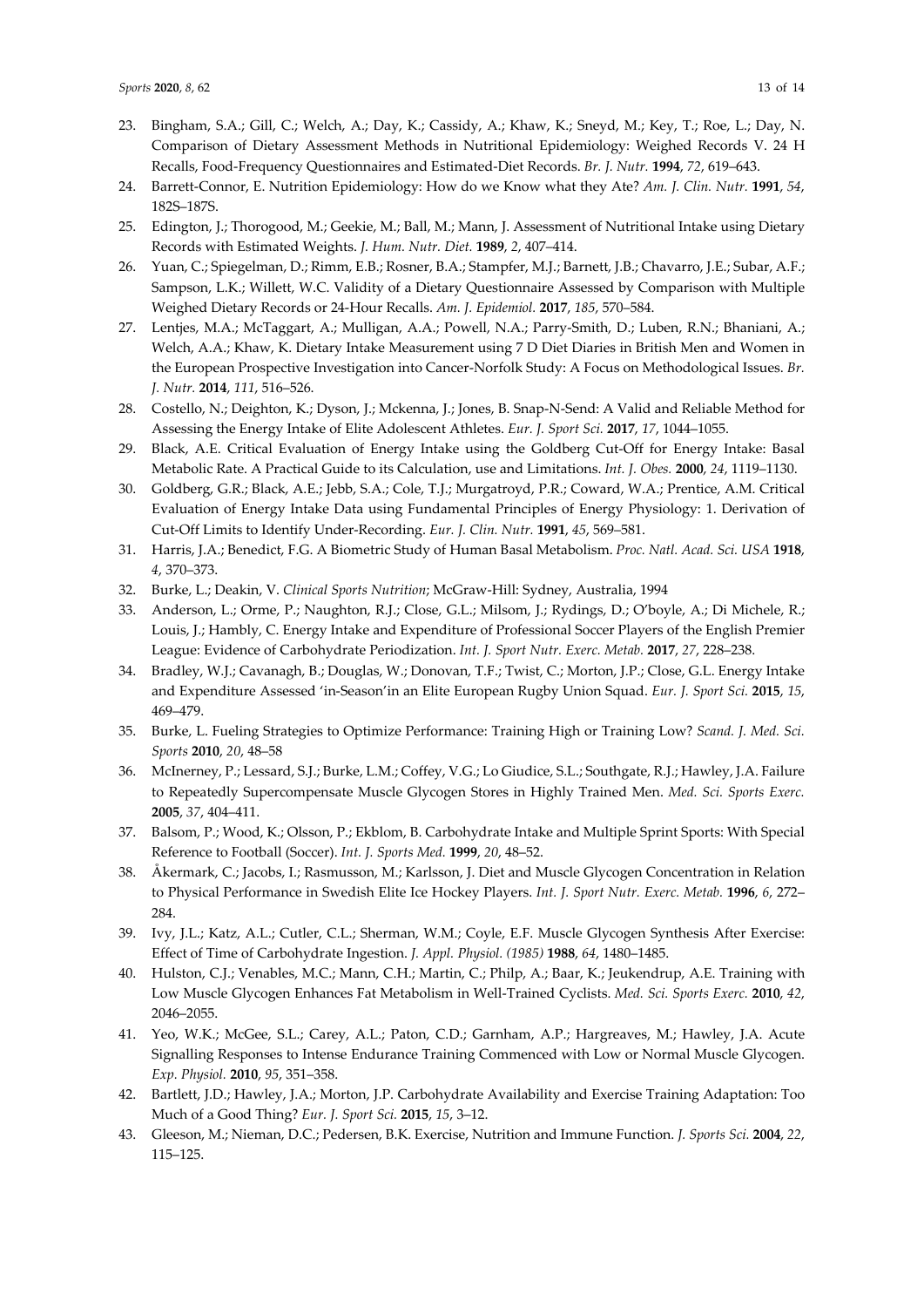- 23. Bingham, S.A.; Gill, C.; Welch, A.; Day, K.; Cassidy, A.; Khaw, K.; Sneyd, M.; Key, T.; Roe, L.; Day, N. Comparison of Dietary Assessment Methods in Nutritional Epidemiology: Weighed Records V. 24 H Recalls, Food-Frequency Questionnaires and Estimated-Diet Records. *Br. J. Nutr.* **1994**, *72*, 619–643.
- 24. Barrett-Connor, E. Nutrition Epidemiology: How do we Know what they Ate? *Am. J. Clin. Nutr.* **1991**, *54*, 182S–187S.
- 25. Edington, J.; Thorogood, M.; Geekie, M.; Ball, M.; Mann, J. Assessment of Nutritional Intake using Dietary Records with Estimated Weights. *J. Hum. Nutr. Diet.* **1989**, *2*, 407–414.
- 26. Yuan, C.; Spiegelman, D.; Rimm, E.B.; Rosner, B.A.; Stampfer, M.J.; Barnett, J.B.; Chavarro, J.E.; Subar, A.F.; Sampson, L.K.; Willett, W.C. Validity of a Dietary Questionnaire Assessed by Comparison with Multiple Weighed Dietary Records or 24-Hour Recalls. *Am. J. Epidemiol.* **2017**, *185*, 570–584.
- 27. Lentjes, M.A.; McTaggart, A.; Mulligan, A.A.; Powell, N.A.; Parry-Smith, D.; Luben, R.N.; Bhaniani, A.; Welch, A.A.; Khaw, K. Dietary Intake Measurement using 7 D Diet Diaries in British Men and Women in the European Prospective Investigation into Cancer-Norfolk Study: A Focus on Methodological Issues. *Br. J. Nutr.* **2014**, *111*, 516–526.
- 28. Costello, N.; Deighton, K.; Dyson, J.; Mckenna, J.; Jones, B. Snap-N-Send: A Valid and Reliable Method for Assessing the Energy Intake of Elite Adolescent Athletes. *Eur. J. Sport Sci.* **2017**, *17*, 1044–1055.
- 29. Black, A.E. Critical Evaluation of Energy Intake using the Goldberg Cut-Off for Energy Intake: Basal Metabolic Rate. A Practical Guide to its Calculation, use and Limitations. *Int. J. Obes.* **2000**, *24*, 1119–1130.
- 30. Goldberg, G.R.; Black, A.E.; Jebb, S.A.; Cole, T.J.; Murgatroyd, P.R.; Coward, W.A.; Prentice, A.M. Critical Evaluation of Energy Intake Data using Fundamental Principles of Energy Physiology: 1. Derivation of Cut-Off Limits to Identify Under-Recording. *Eur. J. Clin. Nutr.* **1991**, *45*, 569–581.
- 31. Harris, J.A.; Benedict, F.G. A Biometric Study of Human Basal Metabolism. *Proc. Natl. Acad. Sci. USA* **1918**, *4*, 370–373.
- 32. Burke, L.; Deakin, V. *Clinical Sports Nutrition*; McGraw-Hill: Sydney, Australia, 1994
- 33. Anderson, L.; Orme, P.; Naughton, R.J.; Close, G.L.; Milsom, J.; Rydings, D.; O'boyle, A.; Di Michele, R.; Louis, J.; Hambly, C. Energy Intake and Expenditure of Professional Soccer Players of the English Premier League: Evidence of Carbohydrate Periodization. *Int. J. Sport Nutr. Exerc. Metab.* **2017**, *27*, 228–238.
- 34. Bradley, W.J.; Cavanagh, B.; Douglas, W.; Donovan, T.F.; Twist, C.; Morton, J.P.; Close, G.L. Energy Intake and Expenditure Assessed 'in-Season'in an Elite European Rugby Union Squad. *Eur. J. Sport Sci.* **2015**, *15*, 469–479.
- 35. Burke, L. Fueling Strategies to Optimize Performance: Training High or Training Low? *Scand. J. Med. Sci. Sports* **2010**, *20*, 48–58
- 36. McInerney, P.; Lessard, S.J.; Burke, L.M.; Coffey, V.G.; Lo Giudice, S.L.; Southgate, R.J.; Hawley, J.A. Failure to Repeatedly Supercompensate Muscle Glycogen Stores in Highly Trained Men. *Med. Sci. Sports Exerc.* **2005**, *37*, 404–411.
- 37. Balsom, P.; Wood, K.; Olsson, P.; Ekblom, B. Carbohydrate Intake and Multiple Sprint Sports: With Special Reference to Football (Soccer). *Int. J. Sports Med.* **1999**, *20*, 48–52.
- 38. Åkermark, C.; Jacobs, I.; Rasmusson, M.; Karlsson, J. Diet and Muscle Glycogen Concentration in Relation to Physical Performance in Swedish Elite Ice Hockey Players. *Int. J. Sport Nutr. Exerc. Metab.* **1996**, *6*, 272– 284.
- 39. Ivy, J.L.; Katz, A.L.; Cutler, C.L.; Sherman, W.M.; Coyle, E.F. Muscle Glycogen Synthesis After Exercise: Effect of Time of Carbohydrate Ingestion. *J. Appl. Physiol. (1985)* **1988**, *64*, 1480–1485.
- 40. Hulston, C.J.; Venables, M.C.; Mann, C.H.; Martin, C.; Philp, A.; Baar, K.; Jeukendrup, A.E. Training with Low Muscle Glycogen Enhances Fat Metabolism in Well-Trained Cyclists. *Med. Sci. Sports Exerc.* **2010**, *42*, 2046–2055.
- 41. Yeo, W.K.; McGee, S.L.; Carey, A.L.; Paton, C.D.; Garnham, A.P.; Hargreaves, M.; Hawley, J.A. Acute Signalling Responses to Intense Endurance Training Commenced with Low or Normal Muscle Glycogen. *Exp. Physiol.* **2010**, *95*, 351–358.
- 42. Bartlett, J.D.; Hawley, J.A.; Morton, J.P. Carbohydrate Availability and Exercise Training Adaptation: Too Much of a Good Thing? *Eur. J. Sport Sci.* **2015**, *15*, 3–12.
- 43. Gleeson, M.; Nieman, D.C.; Pedersen, B.K. Exercise, Nutrition and Immune Function. *J. Sports Sci.* **2004**, *22*, 115–125.